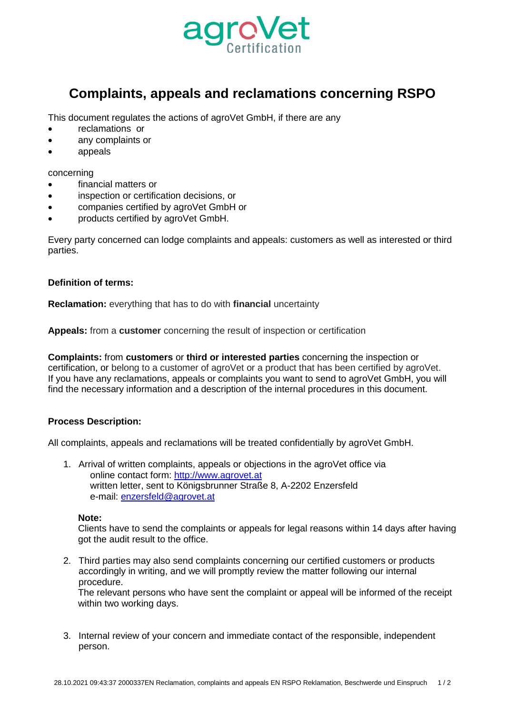

# **Complaints, appeals and reclamations concerning RSPO**

This document regulates the actions of agroVet GmbH, if there are any

- reclamations or
- any complaints or
- appeals

concerning

- financial matters or
- inspection or certification decisions, or
- companies certified by agroVet GmbH or
- products certified by agroVet GmbH.

Every party concerned can lodge complaints and appeals: customers as well as interested or third parties.

## **Definition of terms:**

**Reclamation:** everything that has to do with **financial** uncertainty

**Appeals:** from a **customer** concerning the result of inspection or certification

**Complaints:** from **customers** or **third or interested parties** concerning the inspection or certification, or belong to a customer of agroVet or a product that has been certified by agroVet. If you have any reclamations, appeals or complaints you want to send to agroVet GmbH, you will find the necessary information and a description of the internal procedures in this document.

## **Process Description:**

All complaints, appeals and reclamations will be treated confidentially by agroVet GmbH.

1. Arrival of written complaints, appeals or objections in the agroVet office via online contact form: [http://www.agrovet.at](http://www.agrovet.at/) written letter, sent to Königsbrunner Straße 8, A-2202 Enzersfeld e-mail: [enzersfeld@agrovet.at](mailto:enzersfeld@agrovet.at)

#### **Note:**

Clients have to send the complaints or appeals for legal reasons within 14 days after having got the audit result to the office.

2. Third parties may also send complaints concerning our certified customers or products accordingly in writing, and we will promptly review the matter following our internal procedure.

The relevant persons who have sent the complaint or appeal will be informed of the receipt within two working days.

3. Internal review of your concern and immediate contact of the responsible, independent person.